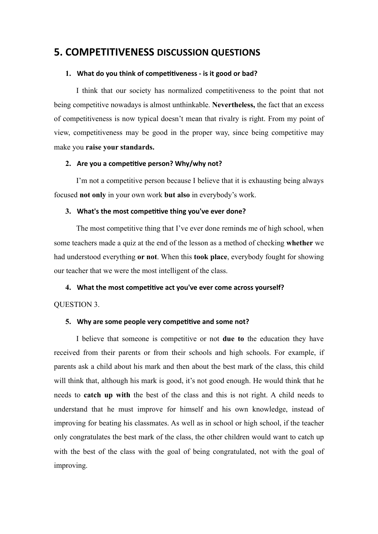## **5. COMPETITIVENESS DISCUSSION OUESTIONS**

## 1. What do you think of competitiveness - is it good or bad?

I think that our society has normalized competitiveness to the point that not being competitive nowadays is almost unthinkable. **Nevertheless,** the fact that an excess of competitiveness is now typical doesn't mean that rivalry is right. From my point of view, competitiveness may be good in the proper way, since being competitive may make you **raise your standards.**

## 2. Are you a competitive person? Why/why not?

I'm not a competitive person because I believe that it is exhausting being always focused **not only** in your own work **but also** in everybody's work.

## 3. What's the most competitive thing you've ever done?

The most competitive thing that I've ever done reminds me of high school, when some teachers made a quiz at the end of the lesson as a method of checking **whether** we had understood everything **or not**. When this **took place**, everybody fought for showing our teacher that we were the most intelligent of the class.

## 4. What the most competitive act you've ever come across yourself?

#### QUESTION 3.

#### 5. Why are some people very competitive and some not?

I believe that someone is competitive or not **due to** the education they have received from their parents or from their schools and high schools. For example, if parents ask a child about his mark and then about the best mark of the class, this child will think that, although his mark is good, it's not good enough. He would think that he needs to **catch up with** the best of the class and this is not right. A child needs to understand that he must improve for himself and his own knowledge, instead of improving for beating his classmates. As well as in school or high school, if the teacher only congratulates the best mark of the class, the other children would want to catch up with the best of the class with the goal of being congratulated, not with the goal of improving.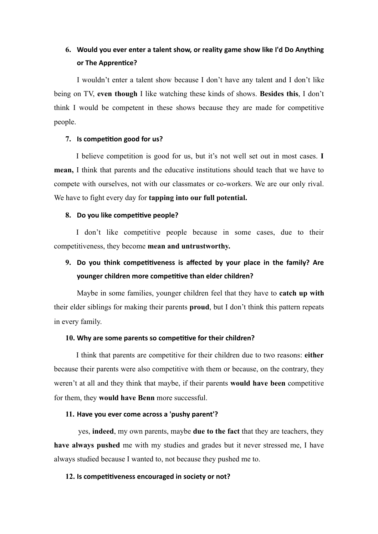# **6.** Would you ever enter a talent show, or reality game show like I'd Do Anything or The Apprentice?

I wouldn't enter a talent show because I don't have any talent and I don't like being on TV, **even though** I like watching these kinds of shows. **Besides this**, I don't think I would be competent in these shows because they are made for competitive people.

## **7. Is competition good for us?**

I believe competition is good for us, but it's not well set out in most cases. **I mean,** I think that parents and the educative institutions should teach that we have to compete with ourselves, not with our classmates or co-workers. We are our only rival. We have to fight every day for **tapping into our full potential.**

## 8. Do you like competitive people?

I don't like competitive people because in some cases, due to their competitiveness, they become **mean and untrustworthy.**

# 9. Do you think competitiveness is affected by your place in the family? Are **younger children more competitive than elder children?**

Maybe in some families, younger children feel that they have to **catch up with** their elder siblings for making their parents **proud**, but I don't think this pattern repeats in every family.

#### 10. Why are some parents so competitive for their children?

I think that parents are competitive for their children due to two reasons: **either** because their parents were also competitive with them or because, on the contrary, they weren't at all and they think that maybe, if their parents **would have been** competitive for them, they **would have Benn** more successful.

## 11. Have you ever come across a 'pushy parent'?

 yes, **indeed**, my own parents, maybe **due to the fact** that they are teachers, they **have always pushed** me with my studies and grades but it never stressed me, I have always studied because I wanted to, not because they pushed me to.

## 12. Is competitiveness encouraged in society or not?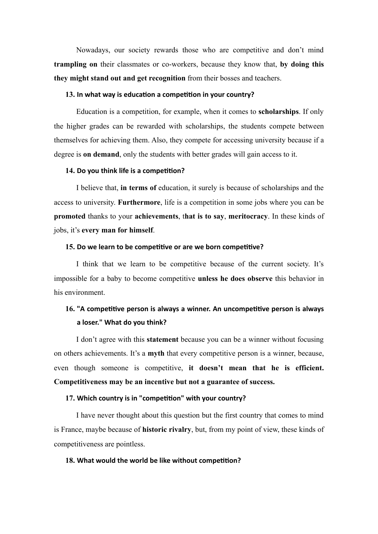Nowadays, our society rewards those who are competitive and don't mind **trampling on** their classmates or co-workers, because they know that, **by doing this they might stand out and get recognition** from their bosses and teachers.

#### 13. In what way is education a competition in your country?

Education is a competition, for example, when it comes to **scholarships**. If only the higher grades can be rewarded with scholarships, the students compete between themselves for achieving them. Also, they compete for accessing university because if a degree is **on demand**, only the students with better grades will gain access to it.

#### 14. Do you think life is a competition?

I believe that, **in terms of** education, it surely is because of scholarships and the access to university. **Furthermore**, life is a competition in some jobs where you can be **promoted** thanks to your **achievements**, t**hat is to say**, **meritocracy**. In these kinds of jobs, it's **every man for himself**.

#### **15.** Do we learn to be competitive or are we born competitive?

I think that we learn to be competitive because of the current society. It's impossible for a baby to become competitive **unless he does observe** this behavior in his environment.

# 16. "A competitive person is always a winner. An uncompetitive person is always **a loser." What do you think?**

I don't agree with this **statement** because you can be a winner without focusing on others achievements. It's a **myth** that every competitive person is a winner, because, even though someone is competitive, **it doesn't mean that he is efficient. Competitiveness may be an incentive but not a guarantee of success.** 

### 17. Which country is in "competition" with your country?

I have never thought about this question but the first country that comes to mind is France, maybe because of **historic rivalry**, but, from my point of view, these kinds of competitiveness are pointless.

#### 18. What would the world be like without competition?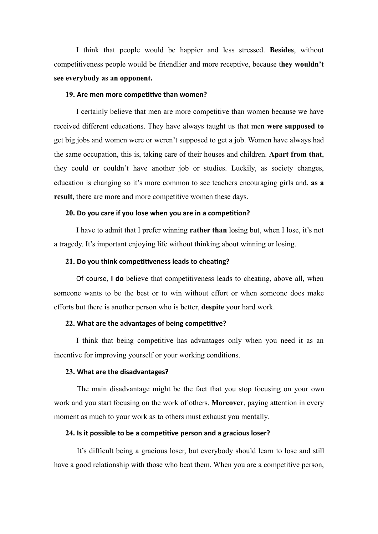I think that people would be happier and less stressed. **Besides**, without competitiveness people would be friendlier and more receptive, because t**hey wouldn't see everybody as an opponent.** 

#### **19.** Are men more competitive than women?

I certainly believe that men are more competitive than women because we have received different educations. They have always taught us that men **were supposed to**  get big jobs and women were or weren't supposed to get a job. Women have always had the same occupation, this is, taking care of their houses and children. **Apart from that**, they could or couldn't have another job or studies. Luckily, as society changes, education is changing so it's more common to see teachers encouraging girls and, **as a result**, there are more and more competitive women these days.

## **20.** Do you care if you lose when you are in a competition?

I have to admit that I prefer winning **rather than** losing but, when I lose, it's not a tragedy. It's important enjoying life without thinking about winning or losing.

#### 21. Do you think competitiveness leads to cheating?

Of course, I do believe that competitiveness leads to cheating, above all, when someone wants to be the best or to win without effort or when someone does make efforts but there is another person who is better, **despite** your hard work.

#### **22. What are the advantages of being competitive?**

I think that being competitive has advantages only when you need it as an incentive for improving yourself or your working conditions.

#### **23. What are the disadvantages?**

The main disadvantage might be the fact that you stop focusing on your own work and you start focusing on the work of others. **Moreover**, paying attention in every moment as much to your work as to others must exhaust you mentally.

### 24. Is it possible to be a competitive person and a gracious loser?

It's difficult being a gracious loser, but everybody should learn to lose and still have a good relationship with those who beat them. When you are a competitive person,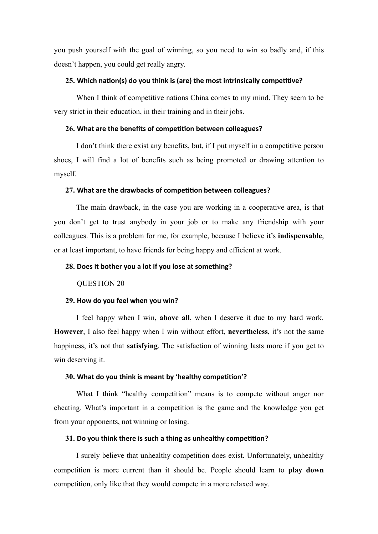you push yourself with the goal of winning, so you need to win so badly and, if this doesn't happen, you could get really angry.

## **25.** Which nation(s) do you think is (are) the most intrinsically competitive?

When I think of competitive nations China comes to my mind. They seem to be very strict in their education, in their training and in their jobs.

#### $26.$  What are the benefits of competition between colleagues?

I don't think there exist any benefits, but, if I put myself in a competitive person shoes, I will find a lot of benefits such as being promoted or drawing attention to myself.

#### 27. What are the drawbacks of competition between colleagues?

The main drawback, in the case you are working in a cooperative area, is that you don't get to trust anybody in your job or to make any friendship with your colleagues. This is a problem for me, for example, because I believe it's **indispensable**, or at least important, to have friends for being happy and efficient at work.

### 28. Does it bother you a lot if you lose at something?

#### QUESTION 20

#### **29. How do you feel when you win?**

I feel happy when I win, **above all**, when I deserve it due to my hard work. **However**, I also feel happy when I win without effort, **nevertheless**, it's not the same happiness, it's not that **satisfying**. The satisfaction of winning lasts more if you get to win deserving it.

#### **30.** What do you think is meant by 'healthy competition'?

What I think "healthy competition" means is to compete without anger nor cheating. What's important in a competition is the game and the knowledge you get from your opponents, not winning or losing.

#### **31.** Do you think there is such a thing as unhealthy competition?

I surely believe that unhealthy competition does exist. Unfortunately, unhealthy competition is more current than it should be. People should learn to **play down**  competition, only like that they would compete in a more relaxed way.